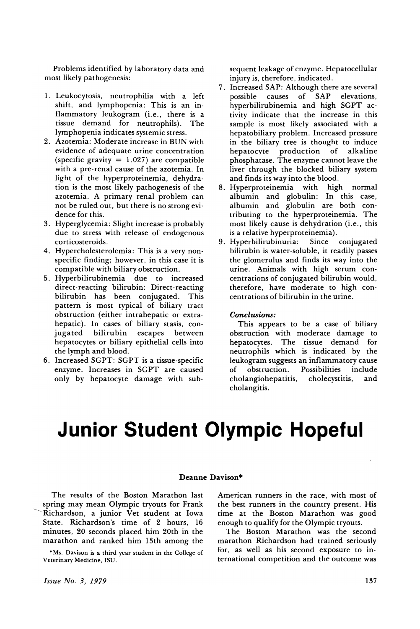Problems identified by laboratory data and most likely pathogenesis:

- 1. Leukocytosis, neutrophilia with a left shift, and lymphopenia: This is an inflammatory leukogram (i.e., there is a tissue demand for neutrophils). The lymphopenia indicates systemic stress.
- 2. Azotemia: Moderate increase in BUN with evidence of adequate urine concentration (specific gravity  $= 1.027$ ) are compatible with a pre-renal cause of the azotemia. In light of the hyperproteinemia, dehydration is the most likely pathogenesis of the azotemia. A primary renal problem can not be ruled out, but there is no strong evidence for this.
- 3. Hyperglycemia: Slight increase is probably due to stress with release of endogenous corticosteroids.
- 4. Hypercholesterolemia: This is a very nonspecific finding; however, in this case it is compatible with biliary obstruction.
- 5. Hyperbilirubinemia due to increased direct-reacting bilirubin: Direct-reacting bilirubin has been conjugated. This pattern is most typical of biliary tract obstruction (either intrahepatic or extrahepatic). In cases of biliary stasis, conjugated bilirubin escapes between hepatocytes or biliary epithelial cells into the lymph and blood.
- 6. Increased SGPT: SGPT is a tissue-specific enzyme. Increases in SGPT are caused only by hepatocyte damage with sub-

sequent leakage of enzyme. Hepatocellular injury is, therefore, indicated.

- 7. Increased SAP: Although there are several possible causes of SAP elevations, hyperbilirubinemia and high SGPT activity indicate that the increase in this sample is most likely associated with a hepatobiliary problem. Increased pressure in the biliary tree is thought to induce hepatocyte production of alkaline phosphatase. The enzyme cannot leave the liver through the blocked biliary system and finds its way into the blood.
- 8. Hyperproteinemia with high normal albumin and globulin: In this case, albumin and globulin are both contributing to the hyperproteinemia. The most likely cause is dehydration (i.e., this is a relative hyperproteinemia).
- 9. Hyperbilirubinuria: Since conjugated bilirubin is water-soluble, it readily passes the glomerulus and finds its way into the urine. Animals with high serum concentrations of conjugated bilirubin would, therefore, have moderate to high concentrations of bilirubin in the urine.

### *Conclusions:*

This appears to be a case of biliary obstruction with moderate damage to hepatocytes. The tissue demand for neutrophils which is indicated by the leukogram suggests an inflammatory cause of obstruction. Possibilities include cholangiohepatitis, cholecystitis, and cholangitis.

# **Junior Student Olympic Hopeful**

#### Deanne Davison\*

The results of the Boston Marathon last spring may mean Olympic tryouts for Frank ~Richardson, a junior Vet student at Iowa State. Richardson's time of 2 hours, 16 minutes, 20 seconds placed him 20th in the marathon and ranked him 13th among the

\*Ms. Davison is a third year student in the College of Veterinary Medicine, ISU.

American runners in the race, with most of the best runners in the country present. His time at the Boston Marathon was good enough to qualify for the Olympic tryouts.

The Boston Marathon was the second marathon Richardson had trained seriously for, as well as his second exposure to international competition and the outcome was

*Issue No.3, 1979*